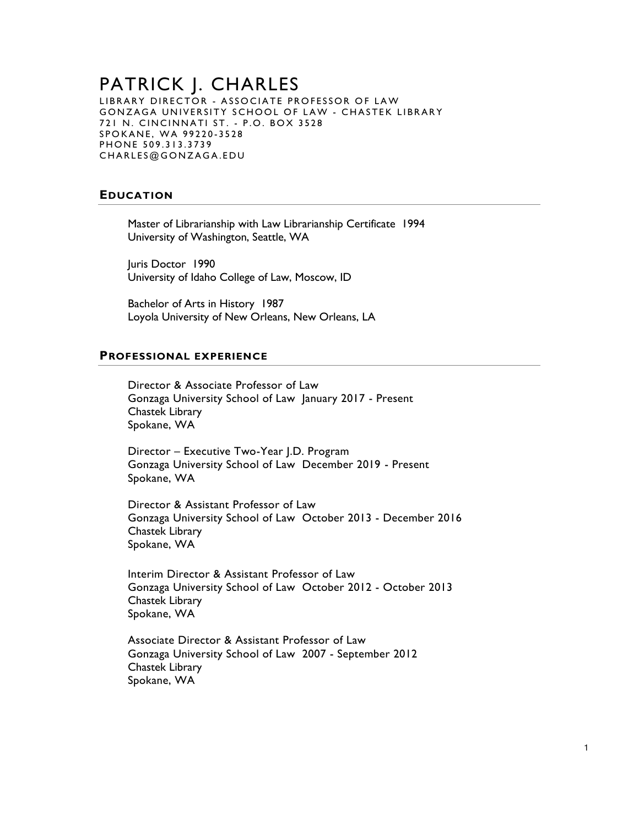### PATRICK J. CHARLES LIBRARY DIRECTOR - ASSOCIATE PROFESSOR OF LAW GONZAGA UNIVERSITY SCHOOL OF LAW - CHASTEK LIBRARY 721 N. CINCINNATI ST. - P.O. BOX 3528 SPOKANE, WA 99220-3528 PHONE 509.313.3739 CHARLES@GONZAGA.EDU

# **EDUCATION**

Master of Librarianship with Law Librarianship Certificate 1994 University of Washington, Seattle, WA

Juris Doctor 1990 University of Idaho College of Law, Moscow, ID

Bachelor of Arts in History 1987 Loyola University of New Orleans, New Orleans, LA

## **PROFESSIONAL EXPERIENCE**

Director & Associate Professor of Law Gonzaga University School of Law January 2017 - Present Chastek Library Spokane, WA

Director – Executive Two-Year J.D. Program Gonzaga University School of Law December 2019 - Present Spokane, WA

Director & Assistant Professor of Law Gonzaga University School of Law October 2013 - December 2016 Chastek Library Spokane, WA

Interim Director & Assistant Professor of Law Gonzaga University School of Law October 2012 - October 2013 Chastek Library Spokane, WA

Associate Director & Assistant Professor of Law Gonzaga University School of Law 2007 - September 2012 Chastek Library Spokane, WA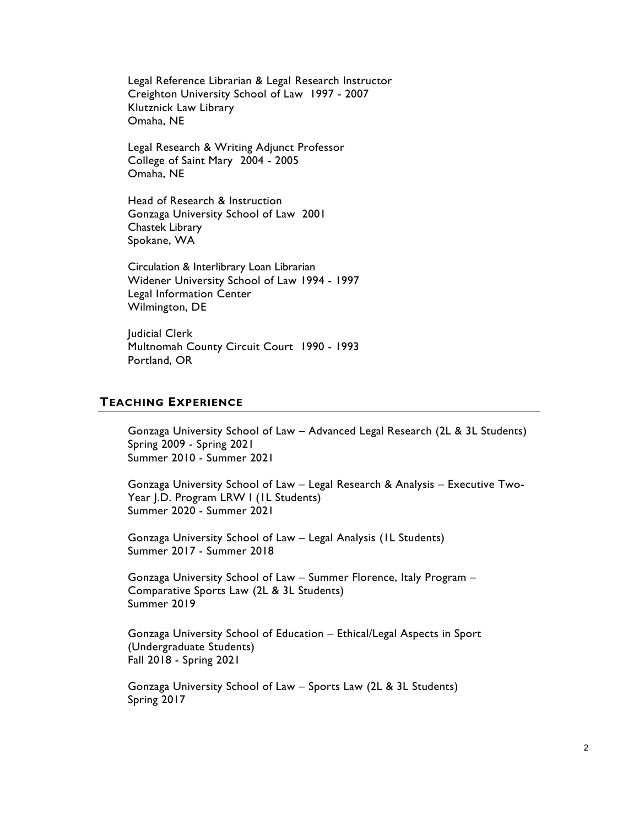Legal Reference Librarian & Legal Research Instructor Creighton University School of Law 1997 - 2007 Klutznick Law Library Omaha, NE

Legal Research & Writing Adjunct Professor College of Saint Mary 2004 - 2005 Omaha, NE

Head of Research & Instruction Gonzaga University School of Law 2001 Chastek Library Spokane, WA

Circulation & Interlibrary Loan Librarian Widener University School of Law 1994 - 1997 Legal Information Center Wilmington, DE

Judicial Clerk Multnomah County Circuit Court 1990 - 1993 Portland, OR

## **TEACHING EXPERIENCE**

Gonzaga University School of Law – Advanced Legal Research (2L & 3L Students) Spring 2009 - Spring 2021 Summer 2010 - Summer 2021

Gonzaga University School of Law – Legal Research & Analysis – Executive Two-Year J.D. Program LRW I (1L Students) Summer 2020 - Summer 2021

Gonzaga University School of Law – Legal Analysis (1L Students) Summer 2017 - Summer 2018

Gonzaga University School of Law – Summer Florence, Italy Program – Comparative Sports Law (2L & 3L Students) Summer 2019

Gonzaga University School of Education – Ethical/Legal Aspects in Sport (Undergraduate Students) Fall 2018 - Spring 2021

Gonzaga University School of Law – Sports Law (2L & 3L Students) Spring 2017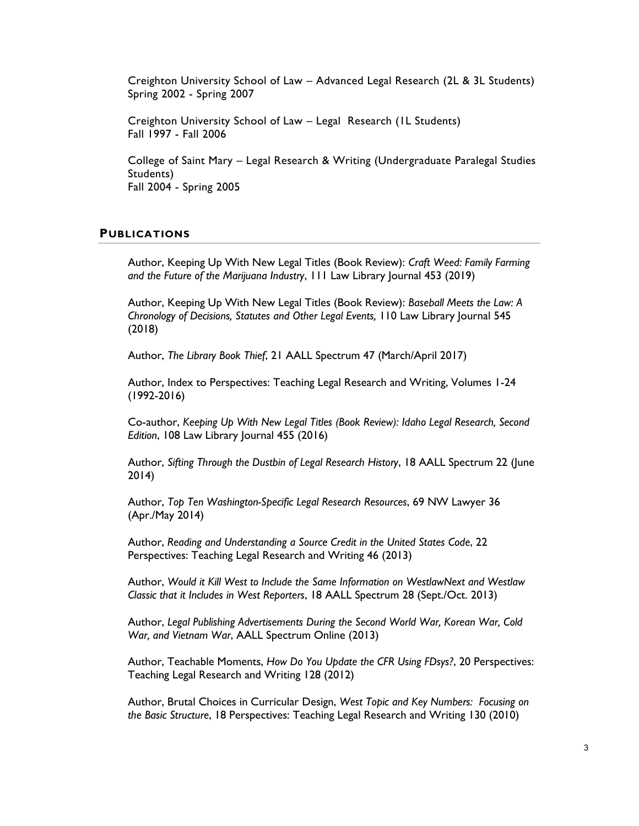Creighton University School of Law – Advanced Legal Research (2L & 3L Students) Spring 2002 - Spring 2007

Creighton University School of Law – Legal Research (1L Students) Fall 1997 - Fall 2006

College of Saint Mary – Legal Research & Writing (Undergraduate Paralegal Studies Students) Fall 2004 - Spring 2005

#### **PUBLICATIONS**

Author, Keeping Up With New Legal Titles (Book Review): *Craft Weed: Family Farming and the Future of the Marijuana Industry*, 111 Law Library Journal 453 (2019)

Author, Keeping Up With New Legal Titles (Book Review): *Baseball Meets the Law: A Chronology of Decisions, Statutes and Other Legal Events,* 110 Law Library Journal 545 (2018)

Author, *The Library Book Thief*, 21 AALL Spectrum 47 (March/April 2017)

Author, Index to Perspectives: Teaching Legal Research and Writing, Volumes 1-24 (1992-2016)

Co-author, *Keeping Up With New Legal Titles (Book Review): Idaho Legal Research, Second Edition*, 108 Law Library Journal 455 (2016)

Author, *Sifting Through the Dustbin of Legal Research History*, 18 AALL Spectrum 22 (June 2014)

Author, *Top Ten Washington-Specific Legal Research Resources*, 69 NW Lawyer 36 (Apr./May 2014)

Author, *Reading and Understanding a Source Credit in the United States Code*, 22 Perspectives: Teaching Legal Research and Writing 46 (2013)

Author, *Would it Kill West to Include the Same Information on WestlawNext and Westlaw Classic that it Includes in West Reporters*, 18 AALL Spectrum 28 (Sept./Oct. 2013)

Author, *Legal Publishing Advertisements During the Second World War, Korean War, Cold War, and Vietnam War*, AALL Spectrum Online (2013)

Author, Teachable Moments, *How Do You Update the CFR Using FDsys?*, 20 Perspectives: Teaching Legal Research and Writing 128 (2012)

Author, Brutal Choices in Curricular Design, *West Topic and Key Numbers: Focusing on the Basic Structure*, 18 Perspectives: Teaching Legal Research and Writing 130 (2010)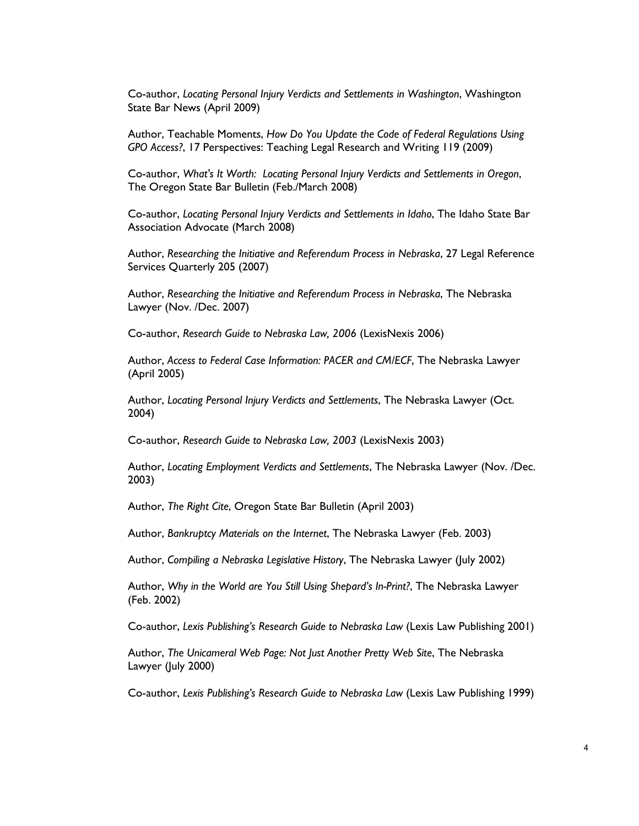Co-author, *Locating Personal Injury Verdicts and Settlements in Washington*, Washington State Bar News (April 2009)

Author, Teachable Moments, *How Do You Update the Code of Federal Regulations Using GPO Access?*, 17 Perspectives: Teaching Legal Research and Writing 119 (2009)

Co-author, *What's It Worth: Locating Personal Injury Verdicts and Settlements in Oregon*, The Oregon State Bar Bulletin (Feb./March 2008)

Co-author, *Locating Personal Injury Verdicts and Settlements in Idaho*, The Idaho State Bar Association Advocate (March 2008)

Author, *Researching the Initiative and Referendum Process in Nebraska*, 27 Legal Reference Services Quarterly 205 (2007)

Author, *Researching the Initiative and Referendum Process in Nebraska*, The Nebraska Lawyer (Nov. /Dec. 2007)

Co-author, *Research Guide to Nebraska Law, 2006* (LexisNexis 2006)

Author, *Access to Federal Case Information: PACER and CM/ECF*, The Nebraska Lawyer (April 2005)

Author, *Locating Personal Injury Verdicts and Settlements*, The Nebraska Lawyer (Oct. 2004)

Co-author, *Research Guide to Nebraska Law, 2003* (LexisNexis 2003)

Author, *Locating Employment Verdicts and Settlements*, The Nebraska Lawyer (Nov. /Dec. 2003)

Author, *The Right Cite*, Oregon State Bar Bulletin (April 2003)

Author, *Bankruptcy Materials on the Internet*, The Nebraska Lawyer (Feb. 2003)

Author, *Compiling a Nebraska Legislative History*, The Nebraska Lawyer (July 2002)

Author, *Why in the World are You Still Using Shepard's In-Print?*, The Nebraska Lawyer (Feb. 2002)

Co-author, *Lexis Publishing's Research Guide to Nebraska Law* (Lexis Law Publishing 2001)

Author, *The Unicameral Web Page: Not Just Another Pretty Web Site*, The Nebraska Lawyer (July 2000)

Co-author, *Lexis Publishing's Research Guide to Nebraska Law* (Lexis Law Publishing 1999)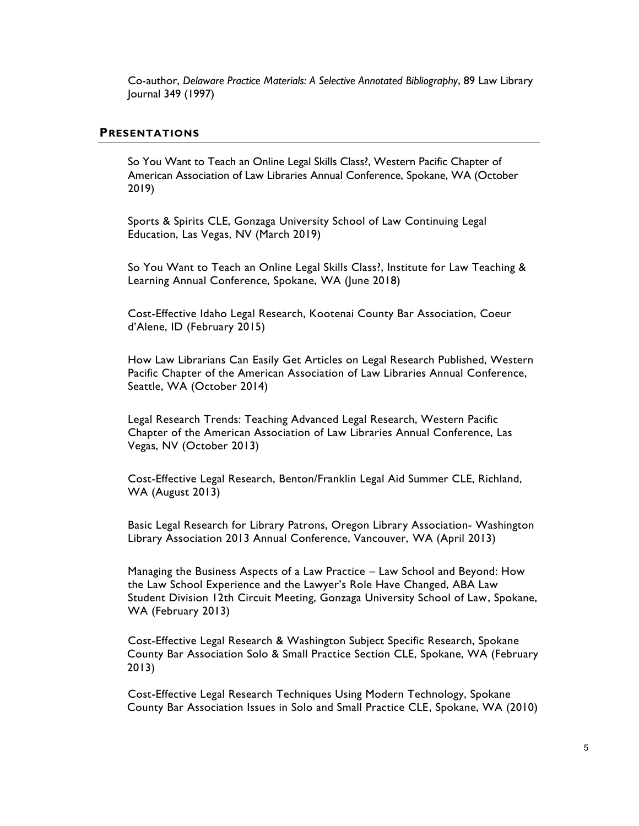Co-author, *Delaware Practice Materials: A Selective Annotated Bibliography*, 89 Law Library Journal 349 (1997)

### **PRESENTATIONS**

So You Want to Teach an Online Legal Skills Class?, Western Pacific Chapter of American Association of Law Libraries Annual Conference, Spokane, WA (October 2019)

Sports & Spirits CLE, Gonzaga University School of Law Continuing Legal Education, Las Vegas, NV (March 2019)

So You Want to Teach an Online Legal Skills Class?, Institute for Law Teaching & Learning Annual Conference, Spokane, WA (June 2018)

Cost-Effective Idaho Legal Research, Kootenai County Bar Association, Coeur d'Alene, ID (February 2015)

How Law Librarians Can Easily Get Articles on Legal Research Published, Western Pacific Chapter of the American Association of Law Libraries Annual Conference, Seattle, WA (October 2014)

Legal Research Trends: Teaching Advanced Legal Research, Western Pacific Chapter of the American Association of Law Libraries Annual Conference, Las Vegas, NV (October 2013)

Cost-Effective Legal Research, Benton/Franklin Legal Aid Summer CLE, Richland, WA (August 2013)

Basic Legal Research for Library Patrons, Oregon Library Association- Washington Library Association 2013 Annual Conference, Vancouver, WA (April 2013)

Managing the Business Aspects of a Law Practice – Law School and Beyond: How the Law School Experience and the Lawyer's Role Have Changed, ABA Law Student Division 12th Circuit Meeting, Gonzaga University School of Law, Spokane, WA (February 2013)

Cost-Effective Legal Research & Washington Subject Specific Research, Spokane County Bar Association Solo & Small Practice Section CLE, Spokane, WA (February 2013)

Cost-Effective Legal Research Techniques Using Modern Technology, Spokane County Bar Association Issues in Solo and Small Practice CLE, Spokane, WA (2010)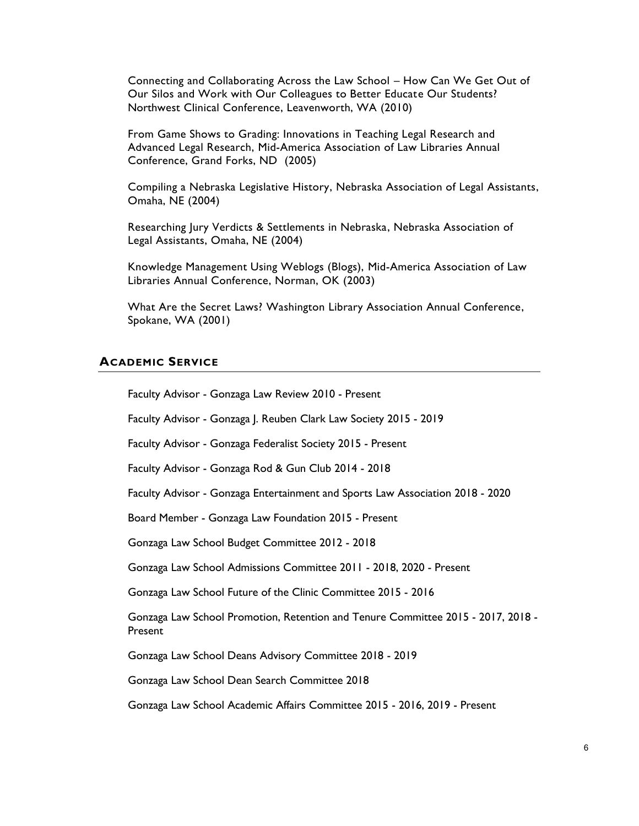Connecting and Collaborating Across the Law School – How Can We Get Out of Our Silos and Work with Our Colleagues to Better Educate Our Students? Northwest Clinical Conference, Leavenworth, WA (2010)

From Game Shows to Grading: Innovations in Teaching Legal Research and Advanced Legal Research, Mid-America Association of Law Libraries Annual Conference, Grand Forks, ND (2005)

Compiling a Nebraska Legislative History, Nebraska Association of Legal Assistants, Omaha, NE (2004)

Researching Jury Verdicts & Settlements in Nebraska, Nebraska Association of Legal Assistants, Omaha, NE (2004)

Knowledge Management Using Weblogs (Blogs), Mid-America Association of Law Libraries Annual Conference, Norman, OK (2003)

What Are the Secret Laws? Washington Library Association Annual Conference, Spokane, WA (2001)

# **ACADEMIC SERVICE**

Faculty Advisor - Gonzaga Law Review 2010 - Present

Faculty Advisor - Gonzaga J. Reuben Clark Law Society 2015 - 2019

Faculty Advisor - Gonzaga Federalist Society 2015 - Present

Faculty Advisor - Gonzaga Rod & Gun Club 2014 - 2018

Faculty Advisor - Gonzaga Entertainment and Sports Law Association 2018 - 2020

Board Member - Gonzaga Law Foundation 2015 - Present

Gonzaga Law School Budget Committee 2012 - 2018

Gonzaga Law School Admissions Committee 2011 - 2018, 2020 - Present

Gonzaga Law School Future of the Clinic Committee 2015 - 2016

Gonzaga Law School Promotion, Retention and Tenure Committee 2015 - 2017, 2018 - Present

Gonzaga Law School Deans Advisory Committee 2018 - 2019

Gonzaga Law School Dean Search Committee 2018

Gonzaga Law School Academic Affairs Committee 2015 - 2016, 2019 - Present